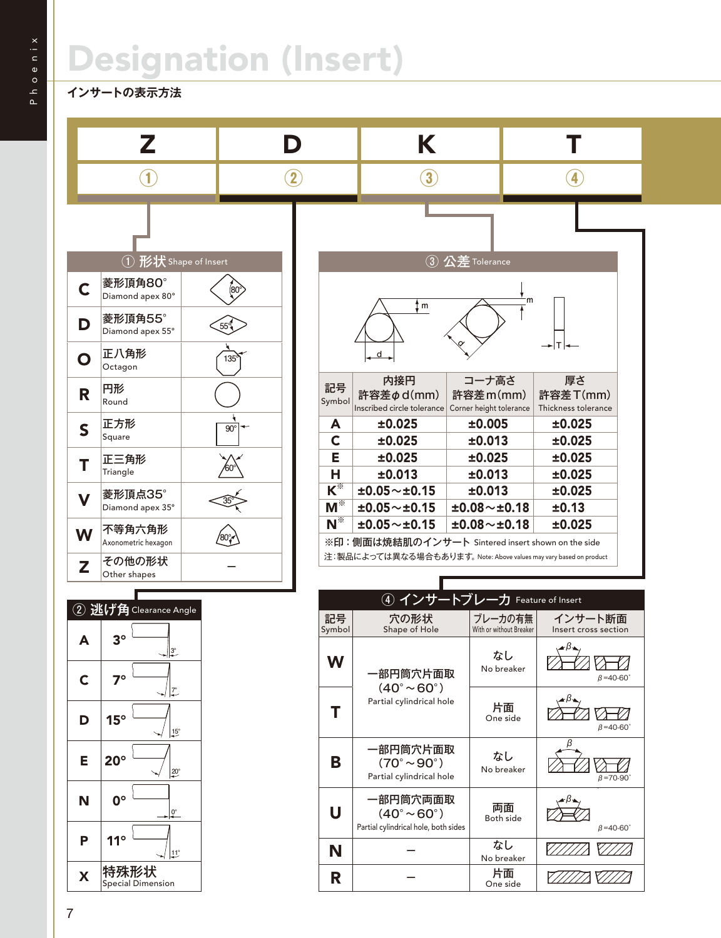## Designation (Insert)

## **インサートの表示方法**